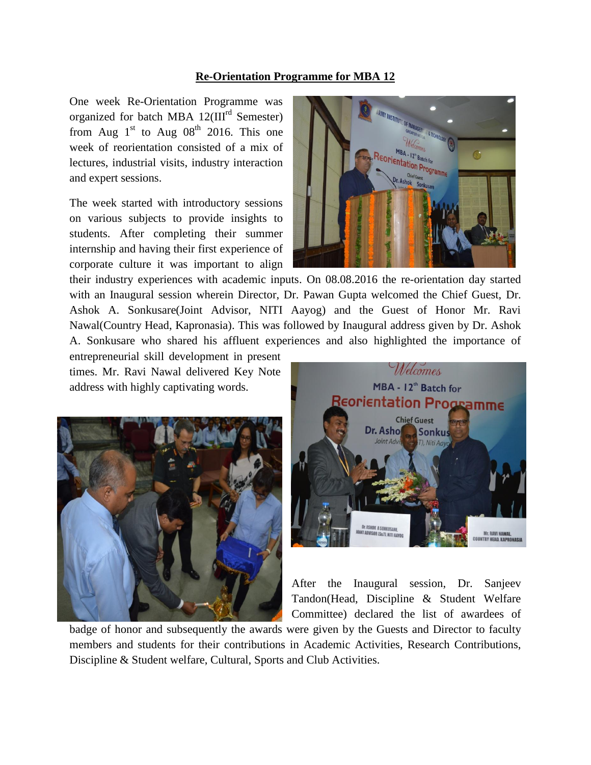## **Re-Orientation Programme for MBA 12**

One week Re-Orientation Programme was organized for batch MBA 12(III<sup>rd</sup> Semester) from Aug  $1<sup>st</sup>$  to Aug  $08<sup>th</sup>$  2016. This one week of reorientation consisted of a mix of lectures, industrial visits, industry interaction and expert sessions.

The week started with introductory sessions on various subjects to provide insights to students. After completing their summer internship and having their first experience of corporate culture it was important to align



their industry experiences with academic inputs. On 08.08.2016 the re-orientation day started with an Inaugural session wherein Director, Dr. Pawan Gupta welcomed the Chief Guest, Dr. Ashok A. Sonkusare(Joint Advisor, NITI Aayog) and the Guest of Honor Mr. Ravi Nawal(Country Head, Kapronasia). This was followed by Inaugural address given by Dr. Ashok A. Sonkusare who shared his affluent experiences and also highlighted the importance of

entrepreneurial skill development in present times. Mr. Ravi Nawal delivered Key Note address with highly captivating words.





After the Inaugural session, Dr. Sanjeev Tandon(Head, Discipline & Student Welfare Committee) declared the list of awardees of

badge of honor and subsequently the awards were given by the Guests and Director to faculty members and students for their contributions in Academic Activities, Research Contributions, Discipline & Student welfare, Cultural, Sports and Club Activities.